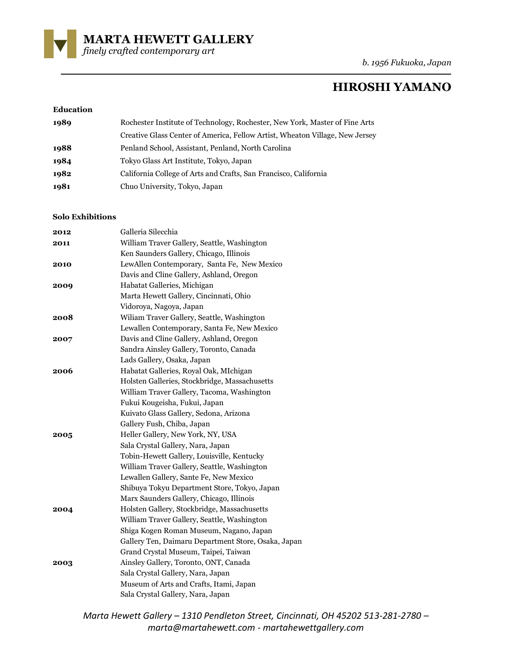

*b. 1956 Fukuoka, Japan*

# **HIROSHI YAMANO**

### **Education**

| 1989 | Rochester Institute of Technology, Rochester, New York, Master of Fine Arts  |
|------|------------------------------------------------------------------------------|
|      | Creative Glass Center of America, Fellow Artist, Wheaton Village, New Jersey |
| 1988 | Penland School, Assistant, Penland, North Carolina                           |
| 1984 | Tokyo Glass Art Institute, Tokyo, Japan                                      |
| 1982 | California College of Arts and Crafts, San Francisco, California             |
| 1981 | Chuo University, Tokyo, Japan                                                |

### **Solo Exhibitions**

| 2012 | Galleria Silecchia                                  |
|------|-----------------------------------------------------|
| 2011 | William Traver Gallery, Seattle, Washington         |
|      | Ken Saunders Gallery, Chicago, Illinois             |
| 2010 | LewAllen Contemporary, Santa Fe, New Mexico         |
|      | Davis and Cline Gallery, Ashland, Oregon            |
| 2009 | Habatat Galleries, Michigan                         |
|      | Marta Hewett Gallery, Cincinnati, Ohio              |
|      | Vidoroya, Nagoya, Japan                             |
| 2008 | Wiliam Traver Gallery, Seattle, Washington          |
|      | Lewallen Contemporary, Santa Fe, New Mexico         |
| 2007 | Davis and Cline Gallery, Ashland, Oregon            |
|      | Sandra Ainsley Gallery, Toronto, Canada             |
|      | Lads Gallery, Osaka, Japan                          |
| 2006 | Habatat Galleries, Royal Oak, MIchigan              |
|      | Holsten Galleries, Stockbridge, Massachusetts       |
|      | William Traver Gallery, Tacoma, Washington          |
|      | Fukui Kougeisha, Fukui, Japan                       |
|      | Kuivato Glass Gallery, Sedona, Arizona              |
|      | Gallery Fush, Chiba, Japan                          |
| 2005 | Heller Gallery, New York, NY, USA                   |
|      | Sala Crystal Gallery, Nara, Japan                   |
|      | Tobin-Hewett Gallery, Louisville, Kentucky          |
|      | William Traver Gallery, Seattle, Washington         |
|      | Lewallen Gallery, Sante Fe, New Mexico              |
|      | Shibuya Tokyu Department Store, Tokyo, Japan        |
|      | Marx Saunders Gallery, Chicago, Illinois            |
| 2004 | Holsten Gallery, Stockbridge, Massachusetts         |
|      | William Traver Gallery, Seattle, Washington         |
|      | Shiga Kogen Roman Museum, Nagano, Japan             |
|      | Gallery Ten, Daimaru Department Store, Osaka, Japan |
|      | Grand Crystal Museum, Taipei, Taiwan                |
| 2003 | Ainsley Gallery, Toronto, ONT, Canada               |
|      | Sala Crystal Gallery, Nara, Japan                   |
|      | Museum of Arts and Crafts, Itami, Japan             |
|      | Sala Crystal Gallery, Nara, Japan                   |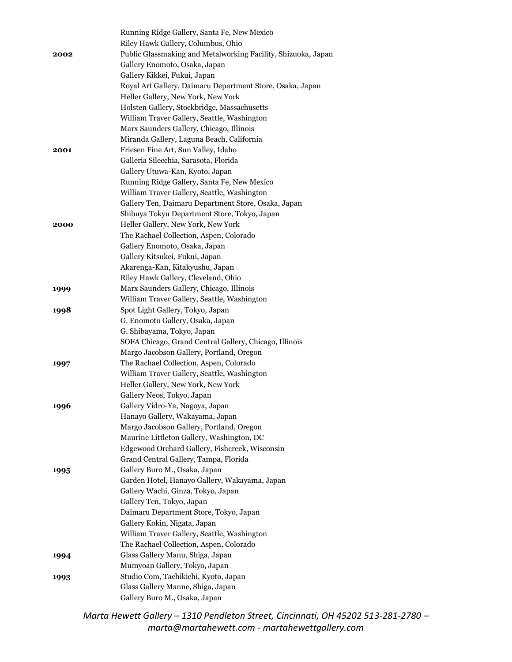| 2002 | Running Ridge Gallery, Santa Fe, New Mexico<br>Riley Hawk Gallery, Columbus, Ohio<br>Public Glassmaking and Metalworking Facility, Shizuoka, Japan<br>Gallery Enomoto, Osaka, Japan<br>Gallery Kikkei, Fukui, Japan |
|------|---------------------------------------------------------------------------------------------------------------------------------------------------------------------------------------------------------------------|
|      | Royal Art Gallery, Daimaru Department Store, Osaka, Japan                                                                                                                                                           |
|      | Heller Gallery, New York, New York                                                                                                                                                                                  |
|      | Holsten Gallery, Stockbridge, Massachusetts                                                                                                                                                                         |
|      | William Traver Gallery, Seattle, Washington                                                                                                                                                                         |
|      | Marx Saunders Gallery, Chicago, Illinois                                                                                                                                                                            |
|      | Miranda Gallery, Laguna Beach, California                                                                                                                                                                           |
| 2001 | Friesen Fine Art, Sun Valley, Idaho                                                                                                                                                                                 |
|      | Galleria Silecchia, Sarasota, Florida                                                                                                                                                                               |
|      | Gallery Utuwa-Kan, Kyoto, Japan                                                                                                                                                                                     |
|      | Running Ridge Gallery, Santa Fe, New Mexico                                                                                                                                                                         |
|      | William Traver Gallery, Seattle, Washington                                                                                                                                                                         |
|      | Gallery Ten, Daimaru Department Store, Osaka, Japan                                                                                                                                                                 |
|      | Shibuya Tokyu Department Store, Tokyo, Japan                                                                                                                                                                        |
| 2000 | Heller Gallery, New York, New York                                                                                                                                                                                  |
|      | The Rachael Collection, Aspen, Colorado                                                                                                                                                                             |
|      | Gallery Enomoto, Osaka, Japan                                                                                                                                                                                       |
|      | Gallery Kitsukei, Fukui, Japan                                                                                                                                                                                      |
|      | Akarenga-Kan, Kitakyushu, Japan                                                                                                                                                                                     |
|      | Riley Hawk Gallery, Cleveland, Ohio                                                                                                                                                                                 |
| 1999 | Marx Saunders Gallery, Chicago, Illinois                                                                                                                                                                            |
|      | William Traver Gallery, Seattle, Washington                                                                                                                                                                         |
| 1998 | Spot Light Gallery, Tokyo, Japan                                                                                                                                                                                    |
|      | G. Enomoto Gallery, Osaka, Japan                                                                                                                                                                                    |
|      | G. Shibayama, Tokyo, Japan<br>SOFA Chicago, Grand Central Gallery, Chicago, Illinois                                                                                                                                |
|      | Margo Jacobson Gallery, Portland, Oregon                                                                                                                                                                            |
| 1997 | The Rachael Collection, Aspen, Colorado                                                                                                                                                                             |
|      | William Traver Gallery, Seattle, Washington                                                                                                                                                                         |
|      | Heller Gallery, New York, New York                                                                                                                                                                                  |
|      | Gallery Neos, Tokyo, Japan                                                                                                                                                                                          |
| 1996 | Gallery Vidro-Ya, Nagoya, Japan                                                                                                                                                                                     |
|      | Hanayo Gallery, Wakayama, Japan                                                                                                                                                                                     |
|      | Margo Jacobson Gallery, Portland, Oregon                                                                                                                                                                            |
|      | Maurine Littleton Gallery, Washington, DC                                                                                                                                                                           |
|      | Edgewood Orchard Gallery, Fishcreek, Wisconsin                                                                                                                                                                      |
|      | Grand Central Gallery, Tampa, Florida                                                                                                                                                                               |
| 1995 | Gallery Buro M., Osaka, Japan                                                                                                                                                                                       |
|      | Garden Hotel, Hanayo Gallery, Wakayama, Japan                                                                                                                                                                       |
|      | Gallery Wachi, Ginza, Tokyo, Japan                                                                                                                                                                                  |
|      | Gallery Ten, Tokyo, Japan                                                                                                                                                                                           |
|      | Daimaru Department Store, Tokyo, Japan                                                                                                                                                                              |
|      | Gallery Kokin, Nigata, Japan                                                                                                                                                                                        |
|      | William Traver Gallery, Seattle, Washington                                                                                                                                                                         |
|      | The Rachael Collection, Aspen, Colorado                                                                                                                                                                             |
| 1994 | Glass Gallery Manu, Shiga, Japan                                                                                                                                                                                    |
|      | Mumyoan Gallery, Tokyo, Japan                                                                                                                                                                                       |
| 1993 | Studio Com, Tachikichi, Kyoto, Japan                                                                                                                                                                                |
|      | Glass Gallery Manne, Shiga, Japan                                                                                                                                                                                   |
|      | Gallery Buro M., Osaka, Japan                                                                                                                                                                                       |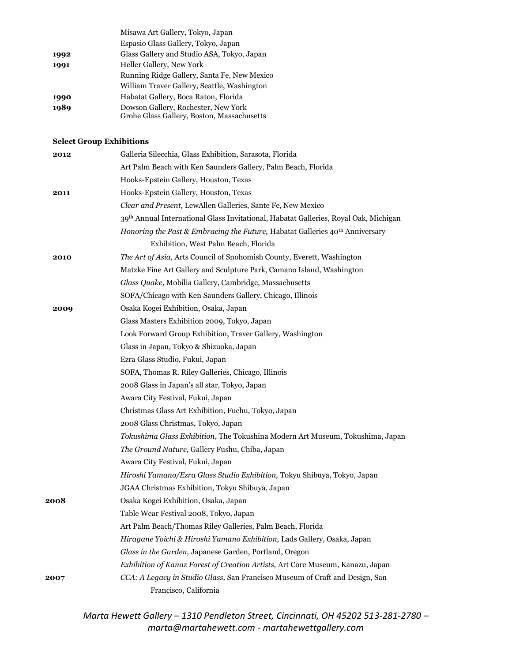|      | Misawa Art Gallery, Tokyo, Japan                                                  |
|------|-----------------------------------------------------------------------------------|
|      | Espasio Glass Gallery, Tokyo, Japan                                               |
| 1992 | Glass Gallery and Studio ASA, Tokyo, Japan                                        |
| 1991 | Heller Gallery, New York                                                          |
|      | Running Ridge Gallery, Santa Fe, New Mexico                                       |
|      | William Traver Gallery, Seattle, Washington                                       |
| 1990 | Habatat Gallery, Boca Raton, Florida                                              |
| 1989 | Dowson Gallery, Rochester, New York<br>Grohe Glass Gallery, Boston, Massachusetts |
|      |                                                                                   |

# **Select Group Exhibitions**

| 2012 | Galleria Silecchia, Glass Exhibition, Sarasota, Florida                              |
|------|--------------------------------------------------------------------------------------|
|      | Art Palm Beach with Ken Saunders Gallery, Palm Beach, Florida                        |
|      | Hooks-Epstein Gallery, Houston, Texas                                                |
| 2011 | Hooks-Epstein Gallery, Houston, Texas                                                |
|      | Clear and Present, LewAllen Galleries, Sante Fe, New Mexico                          |
|      | 39th Annual International Glass Invitational, Habatat Galleries, Royal Oak, Michigan |
|      | Honoring the Past & Embracing the Future, Habatat Galleries 40th Anniversary         |
|      | Exhibition, West Palm Beach, Florida                                                 |
| 2010 | The Art of Asia, Arts Council of Snohomish County, Everett, Washington               |
|      | Matzke Fine Art Gallery and Sculpture Park, Camano Island, Washington                |
|      | Glass Quake, Mobilia Gallery, Cambridge, Massachusetts                               |
|      | SOFA/Chicago with Ken Saunders Gallery, Chicago, Illinois                            |
| 2009 | Osaka Kogei Exhibition, Osaka, Japan                                                 |
|      | Glass Masters Exhibition 2009, Tokyo, Japan                                          |
|      | Look Forward Group Exhibition, Traver Gallery, Washington                            |
|      | Glass in Japan, Tokyo & Shizuoka, Japan                                              |
|      | Ezra Glass Studio, Fukui, Japan                                                      |
|      | SOFA, Thomas R. Riley Galleries, Chicago, Illinois                                   |
|      | 2008 Glass in Japan's all star, Tokyo, Japan                                         |
|      | Awara City Festival, Fukui, Japan                                                    |
|      | Christmas Glass Art Exhibition, Fuchu, Tokyo, Japan                                  |
|      | 2008 Glass Christmas, Tokyo, Japan                                                   |
|      | Tokushima Glass Exhibition, The Tokushina Modern Art Museum, Tokushima, Japan        |
|      | The Ground Nature, Gallery Fushu, Chiba, Japan                                       |
|      | Awara City Festival, Fukui, Japan                                                    |
|      | Hiroshi Yamano/Ezra Glass Studio Exhibition, Tokyu Shibuya, Tokyo, Japan             |
|      | JGAA Christmas Exhibition, Tokyu Shibuya, Japan                                      |
| 2008 | Osaka Kogei Exhibition, Osaka, Japan                                                 |
|      | Table Wear Festival 2008, Tokyo, Japan                                               |
|      | Art Palm Beach/Thomas Riley Galleries, Palm Beach, Florida                           |
|      | Hiragane Yoichi & Hiroshi Yamano Exhibition, Lads Gallery, Osaka, Japan              |
|      | Glass in the Garden, Japanese Garden, Portland, Oregon                               |
|      | Exhibition of Kanaz Forest of Creation Artists, Art Core Museum, Kanazu, Japan       |
| 2007 | CCA: A Legacy in Studio Glass, San Francisco Museum of Craft and Design, San         |
|      | Francisco, California                                                                |
|      |                                                                                      |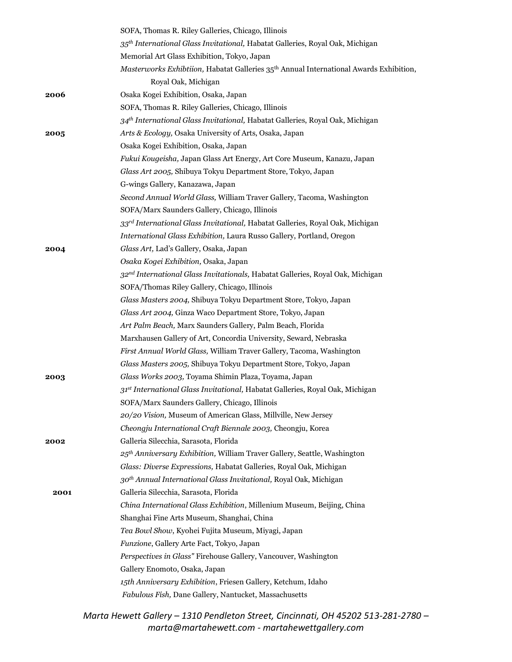|      | SOFA, Thomas R. Riley Galleries, Chicago, Illinois                                         |
|------|--------------------------------------------------------------------------------------------|
|      | 35 <sup>th</sup> International Glass Invitational, Habatat Galleries, Royal Oak, Michigan  |
|      | Memorial Art Glass Exhibition, Tokyo, Japan                                                |
|      | Masterworks Exhibtiion, Habatat Galleries 35th Annual International Awards Exhibition,     |
|      | Royal Oak, Michigan                                                                        |
| 2006 | Osaka Kogei Exhibition, Osaka, Japan                                                       |
|      | SOFA, Thomas R. Riley Galleries, Chicago, Illinois                                         |
|      | 34th International Glass Invitational, Habatat Galleries, Royal Oak, Michigan              |
| 2005 | Arts & Ecology, Osaka University of Arts, Osaka, Japan                                     |
|      | Osaka Kogei Exhibition, Osaka, Japan                                                       |
|      | Fukui Kougeisha, Japan Glass Art Energy, Art Core Museum, Kanazu, Japan                    |
|      | Glass Art 2005, Shibuya Tokyu Department Store, Tokyo, Japan                               |
|      | G-wings Gallery, Kanazawa, Japan                                                           |
|      | Second Annual World Glass, William Traver Gallery, Tacoma, Washington                      |
|      | SOFA/Marx Saunders Gallery, Chicago, Illinois                                              |
|      | 33rd International Glass Invitational, Habatat Galleries, Royal Oak, Michigan              |
|      | International Glass Exhibition, Laura Russo Gallery, Portland, Oregon                      |
| 2004 | Glass Art, Lad's Gallery, Osaka, Japan                                                     |
|      | Osaka Kogei Exhibition, Osaka, Japan                                                       |
|      | 32 <sup>nd</sup> International Glass Invitationals, Habatat Galleries, Royal Oak, Michigan |
|      | SOFA/Thomas Riley Gallery, Chicago, Illinois                                               |
|      | Glass Masters 2004, Shibuya Tokyu Department Store, Tokyo, Japan                           |
|      | Glass Art 2004, Ginza Waco Department Store, Tokyo, Japan                                  |
|      | Art Palm Beach, Marx Saunders Gallery, Palm Beach, Florida                                 |
|      | Marxhausen Gallery of Art, Concordia University, Seward, Nebraska                          |
|      | First Annual World Glass, William Traver Gallery, Tacoma, Washington                       |
|      | Glass Masters 2005, Shibuya Tokyu Department Store, Tokyo, Japan                           |
| 2003 | Glass Works 2003, Toyama Shimin Plaza, Toyama, Japan                                       |
|      | 31st International Glass Invitational, Habatat Galleries, Royal Oak, Michigan              |
|      | SOFA/Marx Saunders Gallery, Chicago, Illinois                                              |
|      | 20/20 Vision, Museum of American Glass, Millville, New Jersey                              |
|      | Cheongju International Craft Biennale 2003, Cheongju, Korea                                |
| 2002 | Galleria Silecchia, Sarasota, Florida                                                      |
|      | 25th Anniversary Exhibition, William Traver Gallery, Seattle, Washington                   |
|      | Glass: Diverse Expressions, Habatat Galleries, Royal Oak, Michigan                         |
|      | 30 <sup>th</sup> Annual International Glass Invitational, Royal Oak, Michigan              |
| 2001 | Galleria Silecchia, Sarasota, Florida                                                      |
|      | China International Glass Exhibition, Millenium Museum, Beijing, China                     |
|      | Shanghai Fine Arts Museum, Shanghai, China                                                 |
|      | Tea Bowl Show, Kyohei Fujita Museum, Miyagi, Japan                                         |
|      | Funzione, Gallery Arte Fact, Tokyo, Japan                                                  |
|      | Perspectives in Glass" Firehouse Gallery, Vancouver, Washington                            |
|      | Gallery Enomoto, Osaka, Japan                                                              |
|      | 15th Anniversary Exhibition, Friesen Gallery, Ketchum, Idaho                               |
|      | Fabulous Fish, Dane Gallery, Nantucket, Massachusetts                                      |
|      |                                                                                            |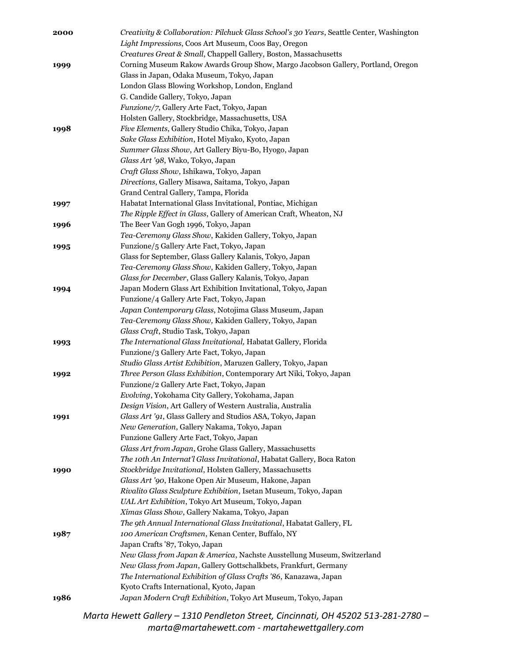| Light Impressions, Coos Art Museum, Coos Bay, Oregon<br>Creatures Great & Small, Chappell Gallery, Boston, Massachusetts<br>Corning Museum Rakow Awards Group Show, Margo Jacobson Gallery, Portland, Oregon<br>1999<br>Glass in Japan, Odaka Museum, Tokyo, Japan<br>London Glass Blowing Workshop, London, England<br>G. Candide Gallery, Tokyo, Japan<br>Funzione/7, Gallery Arte Fact, Tokyo, Japan<br>Holsten Gallery, Stockbridge, Massachusetts, USA<br>Five Elements, Gallery Studio Chika, Tokyo, Japan<br>1998<br>Sake Glass Exhibition, Hotel Miyako, Kyoto, Japan<br>Summer Glass Show, Art Gallery Biyu-Bo, Hyogo, Japan<br>Glass Art '98, Wako, Tokyo, Japan<br>Craft Glass Show, Ishikawa, Tokyo, Japan<br>Directions, Gallery Misawa, Saitama, Tokyo, Japan<br>Grand Central Gallery, Tampa, Florida<br>Habatat International Glass Invitational, Pontiac, Michigan<br>1997<br>The Ripple Effect in Glass, Gallery of American Craft, Wheaton, NJ<br>The Beer Van Gogh 1996, Tokyo, Japan<br>1996<br>Tea-Ceremony Glass Show, Kakiden Gallery, Tokyo, Japan<br>Funzione/5 Gallery Arte Fact, Tokyo, Japan<br>1995<br>Glass for September, Glass Gallery Kalanis, Tokyo, Japan<br>Tea-Ceremony Glass Show, Kakiden Gallery, Tokyo, Japan<br>Glass for December, Glass Gallery Kalanis, Tokyo, Japan<br>Japan Modern Glass Art Exhibition Invitational, Tokyo, Japan<br>1994<br>Funzione/4 Gallery Arte Fact, Tokyo, Japan<br>Japan Contemporary Glass, Notojima Glass Museum, Japan<br>Tea-Ceremony Glass Show, Kakiden Gallery, Tokyo, Japan<br>Glass Craft, Studio Task, Tokyo, Japan<br>The International Glass Invitational, Habatat Gallery, Florida<br>1993<br>Funzione/3 Gallery Arte Fact, Tokyo, Japan<br>Studio Glass Artist Exhibition, Maruzen Gallery, Tokyo, Japan<br>Three Person Glass Exhibition, Contemporary Art Niki, Tokyo, Japan<br>1992<br>Funzione/2 Gallery Arte Fact, Tokyo, Japan<br>Evolving, Yokohama City Gallery, Yokohama, Japan<br>Design Vision, Art Gallery of Western Australia, Australia<br>Glass Art '91, Glass Gallery and Studios ASA, Tokyo, Japan<br>1991<br>New Generation, Gallery Nakama, Tokyo, Japan<br>Funzione Gallery Arte Fact, Tokyo, Japan<br>Glass Art from Japan, Grohe Glass Gallery, Massachusetts<br>The 10th An Internat'l Glass Invitational, Habatat Gallery, Boca Raton<br>Stockbridge Invitational, Holsten Gallery, Massachusetts<br>1990<br>Glass Art '90, Hakone Open Air Museum, Hakone, Japan<br>Rivalito Glass Sculpture Exhibition, Isetan Museum, Tokyo, Japan<br>UAL Art Exhibition, Tokyo Art Museum, Tokyo, Japan<br>Xímas Glass Show, Gallery Nakama, Tokyo, Japan<br>The 9th Annual International Glass Invitational, Habatat Gallery, FL<br>100 American Craftsmen, Kenan Center, Buffalo, NY<br>1987<br>Japan Crafts '87, Tokyo, Japan<br>New Glass from Japan & America, Nachste Ausstellung Museum, Switzerland<br>New Glass from Japan, Gallery Gottschalkbets, Frankfurt, Germany<br>The International Exhibition of Glass Crafts '86, Kanazawa, Japan<br>Kyoto Crafts International, Kyoto, Japan<br>Japan Modern Craft Exhibition, Tokyo Art Museum, Tokyo, Japan<br>1986<br>Marta Hewett Gallery - 1310 Pendleton Street, Cincinnati, OH 45202 513-281-2780 | 2000 | Creativity & Collaboration: Pilchuck Glass School's 30 Years, Seattle Center, Washington |
|------------------------------------------------------------------------------------------------------------------------------------------------------------------------------------------------------------------------------------------------------------------------------------------------------------------------------------------------------------------------------------------------------------------------------------------------------------------------------------------------------------------------------------------------------------------------------------------------------------------------------------------------------------------------------------------------------------------------------------------------------------------------------------------------------------------------------------------------------------------------------------------------------------------------------------------------------------------------------------------------------------------------------------------------------------------------------------------------------------------------------------------------------------------------------------------------------------------------------------------------------------------------------------------------------------------------------------------------------------------------------------------------------------------------------------------------------------------------------------------------------------------------------------------------------------------------------------------------------------------------------------------------------------------------------------------------------------------------------------------------------------------------------------------------------------------------------------------------------------------------------------------------------------------------------------------------------------------------------------------------------------------------------------------------------------------------------------------------------------------------------------------------------------------------------------------------------------------------------------------------------------------------------------------------------------------------------------------------------------------------------------------------------------------------------------------------------------------------------------------------------------------------------------------------------------------------------------------------------------------------------------------------------------------------------------------------------------------------------------------------------------------------------------------------------------------------------------------------------------------------------------------------------------------------------------------------------------------------------------------------------------------------------------------------------------------------------------------------------------------------------------------------------------------------------------------------------------------------------------------------------------------|------|------------------------------------------------------------------------------------------|
|                                                                                                                                                                                                                                                                                                                                                                                                                                                                                                                                                                                                                                                                                                                                                                                                                                                                                                                                                                                                                                                                                                                                                                                                                                                                                                                                                                                                                                                                                                                                                                                                                                                                                                                                                                                                                                                                                                                                                                                                                                                                                                                                                                                                                                                                                                                                                                                                                                                                                                                                                                                                                                                                                                                                                                                                                                                                                                                                                                                                                                                                                                                                                                                                                                                                  |      |                                                                                          |
|                                                                                                                                                                                                                                                                                                                                                                                                                                                                                                                                                                                                                                                                                                                                                                                                                                                                                                                                                                                                                                                                                                                                                                                                                                                                                                                                                                                                                                                                                                                                                                                                                                                                                                                                                                                                                                                                                                                                                                                                                                                                                                                                                                                                                                                                                                                                                                                                                                                                                                                                                                                                                                                                                                                                                                                                                                                                                                                                                                                                                                                                                                                                                                                                                                                                  |      |                                                                                          |
|                                                                                                                                                                                                                                                                                                                                                                                                                                                                                                                                                                                                                                                                                                                                                                                                                                                                                                                                                                                                                                                                                                                                                                                                                                                                                                                                                                                                                                                                                                                                                                                                                                                                                                                                                                                                                                                                                                                                                                                                                                                                                                                                                                                                                                                                                                                                                                                                                                                                                                                                                                                                                                                                                                                                                                                                                                                                                                                                                                                                                                                                                                                                                                                                                                                                  |      |                                                                                          |
|                                                                                                                                                                                                                                                                                                                                                                                                                                                                                                                                                                                                                                                                                                                                                                                                                                                                                                                                                                                                                                                                                                                                                                                                                                                                                                                                                                                                                                                                                                                                                                                                                                                                                                                                                                                                                                                                                                                                                                                                                                                                                                                                                                                                                                                                                                                                                                                                                                                                                                                                                                                                                                                                                                                                                                                                                                                                                                                                                                                                                                                                                                                                                                                                                                                                  |      |                                                                                          |
|                                                                                                                                                                                                                                                                                                                                                                                                                                                                                                                                                                                                                                                                                                                                                                                                                                                                                                                                                                                                                                                                                                                                                                                                                                                                                                                                                                                                                                                                                                                                                                                                                                                                                                                                                                                                                                                                                                                                                                                                                                                                                                                                                                                                                                                                                                                                                                                                                                                                                                                                                                                                                                                                                                                                                                                                                                                                                                                                                                                                                                                                                                                                                                                                                                                                  |      |                                                                                          |
|                                                                                                                                                                                                                                                                                                                                                                                                                                                                                                                                                                                                                                                                                                                                                                                                                                                                                                                                                                                                                                                                                                                                                                                                                                                                                                                                                                                                                                                                                                                                                                                                                                                                                                                                                                                                                                                                                                                                                                                                                                                                                                                                                                                                                                                                                                                                                                                                                                                                                                                                                                                                                                                                                                                                                                                                                                                                                                                                                                                                                                                                                                                                                                                                                                                                  |      |                                                                                          |
|                                                                                                                                                                                                                                                                                                                                                                                                                                                                                                                                                                                                                                                                                                                                                                                                                                                                                                                                                                                                                                                                                                                                                                                                                                                                                                                                                                                                                                                                                                                                                                                                                                                                                                                                                                                                                                                                                                                                                                                                                                                                                                                                                                                                                                                                                                                                                                                                                                                                                                                                                                                                                                                                                                                                                                                                                                                                                                                                                                                                                                                                                                                                                                                                                                                                  |      |                                                                                          |
|                                                                                                                                                                                                                                                                                                                                                                                                                                                                                                                                                                                                                                                                                                                                                                                                                                                                                                                                                                                                                                                                                                                                                                                                                                                                                                                                                                                                                                                                                                                                                                                                                                                                                                                                                                                                                                                                                                                                                                                                                                                                                                                                                                                                                                                                                                                                                                                                                                                                                                                                                                                                                                                                                                                                                                                                                                                                                                                                                                                                                                                                                                                                                                                                                                                                  |      |                                                                                          |
|                                                                                                                                                                                                                                                                                                                                                                                                                                                                                                                                                                                                                                                                                                                                                                                                                                                                                                                                                                                                                                                                                                                                                                                                                                                                                                                                                                                                                                                                                                                                                                                                                                                                                                                                                                                                                                                                                                                                                                                                                                                                                                                                                                                                                                                                                                                                                                                                                                                                                                                                                                                                                                                                                                                                                                                                                                                                                                                                                                                                                                                                                                                                                                                                                                                                  |      |                                                                                          |
|                                                                                                                                                                                                                                                                                                                                                                                                                                                                                                                                                                                                                                                                                                                                                                                                                                                                                                                                                                                                                                                                                                                                                                                                                                                                                                                                                                                                                                                                                                                                                                                                                                                                                                                                                                                                                                                                                                                                                                                                                                                                                                                                                                                                                                                                                                                                                                                                                                                                                                                                                                                                                                                                                                                                                                                                                                                                                                                                                                                                                                                                                                                                                                                                                                                                  |      |                                                                                          |
|                                                                                                                                                                                                                                                                                                                                                                                                                                                                                                                                                                                                                                                                                                                                                                                                                                                                                                                                                                                                                                                                                                                                                                                                                                                                                                                                                                                                                                                                                                                                                                                                                                                                                                                                                                                                                                                                                                                                                                                                                                                                                                                                                                                                                                                                                                                                                                                                                                                                                                                                                                                                                                                                                                                                                                                                                                                                                                                                                                                                                                                                                                                                                                                                                                                                  |      |                                                                                          |
|                                                                                                                                                                                                                                                                                                                                                                                                                                                                                                                                                                                                                                                                                                                                                                                                                                                                                                                                                                                                                                                                                                                                                                                                                                                                                                                                                                                                                                                                                                                                                                                                                                                                                                                                                                                                                                                                                                                                                                                                                                                                                                                                                                                                                                                                                                                                                                                                                                                                                                                                                                                                                                                                                                                                                                                                                                                                                                                                                                                                                                                                                                                                                                                                                                                                  |      |                                                                                          |
|                                                                                                                                                                                                                                                                                                                                                                                                                                                                                                                                                                                                                                                                                                                                                                                                                                                                                                                                                                                                                                                                                                                                                                                                                                                                                                                                                                                                                                                                                                                                                                                                                                                                                                                                                                                                                                                                                                                                                                                                                                                                                                                                                                                                                                                                                                                                                                                                                                                                                                                                                                                                                                                                                                                                                                                                                                                                                                                                                                                                                                                                                                                                                                                                                                                                  |      |                                                                                          |
|                                                                                                                                                                                                                                                                                                                                                                                                                                                                                                                                                                                                                                                                                                                                                                                                                                                                                                                                                                                                                                                                                                                                                                                                                                                                                                                                                                                                                                                                                                                                                                                                                                                                                                                                                                                                                                                                                                                                                                                                                                                                                                                                                                                                                                                                                                                                                                                                                                                                                                                                                                                                                                                                                                                                                                                                                                                                                                                                                                                                                                                                                                                                                                                                                                                                  |      |                                                                                          |
|                                                                                                                                                                                                                                                                                                                                                                                                                                                                                                                                                                                                                                                                                                                                                                                                                                                                                                                                                                                                                                                                                                                                                                                                                                                                                                                                                                                                                                                                                                                                                                                                                                                                                                                                                                                                                                                                                                                                                                                                                                                                                                                                                                                                                                                                                                                                                                                                                                                                                                                                                                                                                                                                                                                                                                                                                                                                                                                                                                                                                                                                                                                                                                                                                                                                  |      |                                                                                          |
|                                                                                                                                                                                                                                                                                                                                                                                                                                                                                                                                                                                                                                                                                                                                                                                                                                                                                                                                                                                                                                                                                                                                                                                                                                                                                                                                                                                                                                                                                                                                                                                                                                                                                                                                                                                                                                                                                                                                                                                                                                                                                                                                                                                                                                                                                                                                                                                                                                                                                                                                                                                                                                                                                                                                                                                                                                                                                                                                                                                                                                                                                                                                                                                                                                                                  |      |                                                                                          |
|                                                                                                                                                                                                                                                                                                                                                                                                                                                                                                                                                                                                                                                                                                                                                                                                                                                                                                                                                                                                                                                                                                                                                                                                                                                                                                                                                                                                                                                                                                                                                                                                                                                                                                                                                                                                                                                                                                                                                                                                                                                                                                                                                                                                                                                                                                                                                                                                                                                                                                                                                                                                                                                                                                                                                                                                                                                                                                                                                                                                                                                                                                                                                                                                                                                                  |      |                                                                                          |
|                                                                                                                                                                                                                                                                                                                                                                                                                                                                                                                                                                                                                                                                                                                                                                                                                                                                                                                                                                                                                                                                                                                                                                                                                                                                                                                                                                                                                                                                                                                                                                                                                                                                                                                                                                                                                                                                                                                                                                                                                                                                                                                                                                                                                                                                                                                                                                                                                                                                                                                                                                                                                                                                                                                                                                                                                                                                                                                                                                                                                                                                                                                                                                                                                                                                  |      |                                                                                          |
|                                                                                                                                                                                                                                                                                                                                                                                                                                                                                                                                                                                                                                                                                                                                                                                                                                                                                                                                                                                                                                                                                                                                                                                                                                                                                                                                                                                                                                                                                                                                                                                                                                                                                                                                                                                                                                                                                                                                                                                                                                                                                                                                                                                                                                                                                                                                                                                                                                                                                                                                                                                                                                                                                                                                                                                                                                                                                                                                                                                                                                                                                                                                                                                                                                                                  |      |                                                                                          |
|                                                                                                                                                                                                                                                                                                                                                                                                                                                                                                                                                                                                                                                                                                                                                                                                                                                                                                                                                                                                                                                                                                                                                                                                                                                                                                                                                                                                                                                                                                                                                                                                                                                                                                                                                                                                                                                                                                                                                                                                                                                                                                                                                                                                                                                                                                                                                                                                                                                                                                                                                                                                                                                                                                                                                                                                                                                                                                                                                                                                                                                                                                                                                                                                                                                                  |      |                                                                                          |
|                                                                                                                                                                                                                                                                                                                                                                                                                                                                                                                                                                                                                                                                                                                                                                                                                                                                                                                                                                                                                                                                                                                                                                                                                                                                                                                                                                                                                                                                                                                                                                                                                                                                                                                                                                                                                                                                                                                                                                                                                                                                                                                                                                                                                                                                                                                                                                                                                                                                                                                                                                                                                                                                                                                                                                                                                                                                                                                                                                                                                                                                                                                                                                                                                                                                  |      |                                                                                          |
|                                                                                                                                                                                                                                                                                                                                                                                                                                                                                                                                                                                                                                                                                                                                                                                                                                                                                                                                                                                                                                                                                                                                                                                                                                                                                                                                                                                                                                                                                                                                                                                                                                                                                                                                                                                                                                                                                                                                                                                                                                                                                                                                                                                                                                                                                                                                                                                                                                                                                                                                                                                                                                                                                                                                                                                                                                                                                                                                                                                                                                                                                                                                                                                                                                                                  |      |                                                                                          |
|                                                                                                                                                                                                                                                                                                                                                                                                                                                                                                                                                                                                                                                                                                                                                                                                                                                                                                                                                                                                                                                                                                                                                                                                                                                                                                                                                                                                                                                                                                                                                                                                                                                                                                                                                                                                                                                                                                                                                                                                                                                                                                                                                                                                                                                                                                                                                                                                                                                                                                                                                                                                                                                                                                                                                                                                                                                                                                                                                                                                                                                                                                                                                                                                                                                                  |      |                                                                                          |
|                                                                                                                                                                                                                                                                                                                                                                                                                                                                                                                                                                                                                                                                                                                                                                                                                                                                                                                                                                                                                                                                                                                                                                                                                                                                                                                                                                                                                                                                                                                                                                                                                                                                                                                                                                                                                                                                                                                                                                                                                                                                                                                                                                                                                                                                                                                                                                                                                                                                                                                                                                                                                                                                                                                                                                                                                                                                                                                                                                                                                                                                                                                                                                                                                                                                  |      |                                                                                          |
|                                                                                                                                                                                                                                                                                                                                                                                                                                                                                                                                                                                                                                                                                                                                                                                                                                                                                                                                                                                                                                                                                                                                                                                                                                                                                                                                                                                                                                                                                                                                                                                                                                                                                                                                                                                                                                                                                                                                                                                                                                                                                                                                                                                                                                                                                                                                                                                                                                                                                                                                                                                                                                                                                                                                                                                                                                                                                                                                                                                                                                                                                                                                                                                                                                                                  |      |                                                                                          |
|                                                                                                                                                                                                                                                                                                                                                                                                                                                                                                                                                                                                                                                                                                                                                                                                                                                                                                                                                                                                                                                                                                                                                                                                                                                                                                                                                                                                                                                                                                                                                                                                                                                                                                                                                                                                                                                                                                                                                                                                                                                                                                                                                                                                                                                                                                                                                                                                                                                                                                                                                                                                                                                                                                                                                                                                                                                                                                                                                                                                                                                                                                                                                                                                                                                                  |      |                                                                                          |
|                                                                                                                                                                                                                                                                                                                                                                                                                                                                                                                                                                                                                                                                                                                                                                                                                                                                                                                                                                                                                                                                                                                                                                                                                                                                                                                                                                                                                                                                                                                                                                                                                                                                                                                                                                                                                                                                                                                                                                                                                                                                                                                                                                                                                                                                                                                                                                                                                                                                                                                                                                                                                                                                                                                                                                                                                                                                                                                                                                                                                                                                                                                                                                                                                                                                  |      |                                                                                          |
|                                                                                                                                                                                                                                                                                                                                                                                                                                                                                                                                                                                                                                                                                                                                                                                                                                                                                                                                                                                                                                                                                                                                                                                                                                                                                                                                                                                                                                                                                                                                                                                                                                                                                                                                                                                                                                                                                                                                                                                                                                                                                                                                                                                                                                                                                                                                                                                                                                                                                                                                                                                                                                                                                                                                                                                                                                                                                                                                                                                                                                                                                                                                                                                                                                                                  |      |                                                                                          |
|                                                                                                                                                                                                                                                                                                                                                                                                                                                                                                                                                                                                                                                                                                                                                                                                                                                                                                                                                                                                                                                                                                                                                                                                                                                                                                                                                                                                                                                                                                                                                                                                                                                                                                                                                                                                                                                                                                                                                                                                                                                                                                                                                                                                                                                                                                                                                                                                                                                                                                                                                                                                                                                                                                                                                                                                                                                                                                                                                                                                                                                                                                                                                                                                                                                                  |      |                                                                                          |
|                                                                                                                                                                                                                                                                                                                                                                                                                                                                                                                                                                                                                                                                                                                                                                                                                                                                                                                                                                                                                                                                                                                                                                                                                                                                                                                                                                                                                                                                                                                                                                                                                                                                                                                                                                                                                                                                                                                                                                                                                                                                                                                                                                                                                                                                                                                                                                                                                                                                                                                                                                                                                                                                                                                                                                                                                                                                                                                                                                                                                                                                                                                                                                                                                                                                  |      |                                                                                          |
|                                                                                                                                                                                                                                                                                                                                                                                                                                                                                                                                                                                                                                                                                                                                                                                                                                                                                                                                                                                                                                                                                                                                                                                                                                                                                                                                                                                                                                                                                                                                                                                                                                                                                                                                                                                                                                                                                                                                                                                                                                                                                                                                                                                                                                                                                                                                                                                                                                                                                                                                                                                                                                                                                                                                                                                                                                                                                                                                                                                                                                                                                                                                                                                                                                                                  |      |                                                                                          |
|                                                                                                                                                                                                                                                                                                                                                                                                                                                                                                                                                                                                                                                                                                                                                                                                                                                                                                                                                                                                                                                                                                                                                                                                                                                                                                                                                                                                                                                                                                                                                                                                                                                                                                                                                                                                                                                                                                                                                                                                                                                                                                                                                                                                                                                                                                                                                                                                                                                                                                                                                                                                                                                                                                                                                                                                                                                                                                                                                                                                                                                                                                                                                                                                                                                                  |      |                                                                                          |
|                                                                                                                                                                                                                                                                                                                                                                                                                                                                                                                                                                                                                                                                                                                                                                                                                                                                                                                                                                                                                                                                                                                                                                                                                                                                                                                                                                                                                                                                                                                                                                                                                                                                                                                                                                                                                                                                                                                                                                                                                                                                                                                                                                                                                                                                                                                                                                                                                                                                                                                                                                                                                                                                                                                                                                                                                                                                                                                                                                                                                                                                                                                                                                                                                                                                  |      |                                                                                          |
|                                                                                                                                                                                                                                                                                                                                                                                                                                                                                                                                                                                                                                                                                                                                                                                                                                                                                                                                                                                                                                                                                                                                                                                                                                                                                                                                                                                                                                                                                                                                                                                                                                                                                                                                                                                                                                                                                                                                                                                                                                                                                                                                                                                                                                                                                                                                                                                                                                                                                                                                                                                                                                                                                                                                                                                                                                                                                                                                                                                                                                                                                                                                                                                                                                                                  |      |                                                                                          |
|                                                                                                                                                                                                                                                                                                                                                                                                                                                                                                                                                                                                                                                                                                                                                                                                                                                                                                                                                                                                                                                                                                                                                                                                                                                                                                                                                                                                                                                                                                                                                                                                                                                                                                                                                                                                                                                                                                                                                                                                                                                                                                                                                                                                                                                                                                                                                                                                                                                                                                                                                                                                                                                                                                                                                                                                                                                                                                                                                                                                                                                                                                                                                                                                                                                                  |      |                                                                                          |
|                                                                                                                                                                                                                                                                                                                                                                                                                                                                                                                                                                                                                                                                                                                                                                                                                                                                                                                                                                                                                                                                                                                                                                                                                                                                                                                                                                                                                                                                                                                                                                                                                                                                                                                                                                                                                                                                                                                                                                                                                                                                                                                                                                                                                                                                                                                                                                                                                                                                                                                                                                                                                                                                                                                                                                                                                                                                                                                                                                                                                                                                                                                                                                                                                                                                  |      |                                                                                          |
|                                                                                                                                                                                                                                                                                                                                                                                                                                                                                                                                                                                                                                                                                                                                                                                                                                                                                                                                                                                                                                                                                                                                                                                                                                                                                                                                                                                                                                                                                                                                                                                                                                                                                                                                                                                                                                                                                                                                                                                                                                                                                                                                                                                                                                                                                                                                                                                                                                                                                                                                                                                                                                                                                                                                                                                                                                                                                                                                                                                                                                                                                                                                                                                                                                                                  |      |                                                                                          |
|                                                                                                                                                                                                                                                                                                                                                                                                                                                                                                                                                                                                                                                                                                                                                                                                                                                                                                                                                                                                                                                                                                                                                                                                                                                                                                                                                                                                                                                                                                                                                                                                                                                                                                                                                                                                                                                                                                                                                                                                                                                                                                                                                                                                                                                                                                                                                                                                                                                                                                                                                                                                                                                                                                                                                                                                                                                                                                                                                                                                                                                                                                                                                                                                                                                                  |      |                                                                                          |
|                                                                                                                                                                                                                                                                                                                                                                                                                                                                                                                                                                                                                                                                                                                                                                                                                                                                                                                                                                                                                                                                                                                                                                                                                                                                                                                                                                                                                                                                                                                                                                                                                                                                                                                                                                                                                                                                                                                                                                                                                                                                                                                                                                                                                                                                                                                                                                                                                                                                                                                                                                                                                                                                                                                                                                                                                                                                                                                                                                                                                                                                                                                                                                                                                                                                  |      |                                                                                          |
|                                                                                                                                                                                                                                                                                                                                                                                                                                                                                                                                                                                                                                                                                                                                                                                                                                                                                                                                                                                                                                                                                                                                                                                                                                                                                                                                                                                                                                                                                                                                                                                                                                                                                                                                                                                                                                                                                                                                                                                                                                                                                                                                                                                                                                                                                                                                                                                                                                                                                                                                                                                                                                                                                                                                                                                                                                                                                                                                                                                                                                                                                                                                                                                                                                                                  |      |                                                                                          |
|                                                                                                                                                                                                                                                                                                                                                                                                                                                                                                                                                                                                                                                                                                                                                                                                                                                                                                                                                                                                                                                                                                                                                                                                                                                                                                                                                                                                                                                                                                                                                                                                                                                                                                                                                                                                                                                                                                                                                                                                                                                                                                                                                                                                                                                                                                                                                                                                                                                                                                                                                                                                                                                                                                                                                                                                                                                                                                                                                                                                                                                                                                                                                                                                                                                                  |      |                                                                                          |
|                                                                                                                                                                                                                                                                                                                                                                                                                                                                                                                                                                                                                                                                                                                                                                                                                                                                                                                                                                                                                                                                                                                                                                                                                                                                                                                                                                                                                                                                                                                                                                                                                                                                                                                                                                                                                                                                                                                                                                                                                                                                                                                                                                                                                                                                                                                                                                                                                                                                                                                                                                                                                                                                                                                                                                                                                                                                                                                                                                                                                                                                                                                                                                                                                                                                  |      |                                                                                          |
|                                                                                                                                                                                                                                                                                                                                                                                                                                                                                                                                                                                                                                                                                                                                                                                                                                                                                                                                                                                                                                                                                                                                                                                                                                                                                                                                                                                                                                                                                                                                                                                                                                                                                                                                                                                                                                                                                                                                                                                                                                                                                                                                                                                                                                                                                                                                                                                                                                                                                                                                                                                                                                                                                                                                                                                                                                                                                                                                                                                                                                                                                                                                                                                                                                                                  |      |                                                                                          |
|                                                                                                                                                                                                                                                                                                                                                                                                                                                                                                                                                                                                                                                                                                                                                                                                                                                                                                                                                                                                                                                                                                                                                                                                                                                                                                                                                                                                                                                                                                                                                                                                                                                                                                                                                                                                                                                                                                                                                                                                                                                                                                                                                                                                                                                                                                                                                                                                                                                                                                                                                                                                                                                                                                                                                                                                                                                                                                                                                                                                                                                                                                                                                                                                                                                                  |      |                                                                                          |
|                                                                                                                                                                                                                                                                                                                                                                                                                                                                                                                                                                                                                                                                                                                                                                                                                                                                                                                                                                                                                                                                                                                                                                                                                                                                                                                                                                                                                                                                                                                                                                                                                                                                                                                                                                                                                                                                                                                                                                                                                                                                                                                                                                                                                                                                                                                                                                                                                                                                                                                                                                                                                                                                                                                                                                                                                                                                                                                                                                                                                                                                                                                                                                                                                                                                  |      |                                                                                          |
|                                                                                                                                                                                                                                                                                                                                                                                                                                                                                                                                                                                                                                                                                                                                                                                                                                                                                                                                                                                                                                                                                                                                                                                                                                                                                                                                                                                                                                                                                                                                                                                                                                                                                                                                                                                                                                                                                                                                                                                                                                                                                                                                                                                                                                                                                                                                                                                                                                                                                                                                                                                                                                                                                                                                                                                                                                                                                                                                                                                                                                                                                                                                                                                                                                                                  |      |                                                                                          |
|                                                                                                                                                                                                                                                                                                                                                                                                                                                                                                                                                                                                                                                                                                                                                                                                                                                                                                                                                                                                                                                                                                                                                                                                                                                                                                                                                                                                                                                                                                                                                                                                                                                                                                                                                                                                                                                                                                                                                                                                                                                                                                                                                                                                                                                                                                                                                                                                                                                                                                                                                                                                                                                                                                                                                                                                                                                                                                                                                                                                                                                                                                                                                                                                                                                                  |      |                                                                                          |
|                                                                                                                                                                                                                                                                                                                                                                                                                                                                                                                                                                                                                                                                                                                                                                                                                                                                                                                                                                                                                                                                                                                                                                                                                                                                                                                                                                                                                                                                                                                                                                                                                                                                                                                                                                                                                                                                                                                                                                                                                                                                                                                                                                                                                                                                                                                                                                                                                                                                                                                                                                                                                                                                                                                                                                                                                                                                                                                                                                                                                                                                                                                                                                                                                                                                  |      |                                                                                          |
|                                                                                                                                                                                                                                                                                                                                                                                                                                                                                                                                                                                                                                                                                                                                                                                                                                                                                                                                                                                                                                                                                                                                                                                                                                                                                                                                                                                                                                                                                                                                                                                                                                                                                                                                                                                                                                                                                                                                                                                                                                                                                                                                                                                                                                                                                                                                                                                                                                                                                                                                                                                                                                                                                                                                                                                                                                                                                                                                                                                                                                                                                                                                                                                                                                                                  |      |                                                                                          |
|                                                                                                                                                                                                                                                                                                                                                                                                                                                                                                                                                                                                                                                                                                                                                                                                                                                                                                                                                                                                                                                                                                                                                                                                                                                                                                                                                                                                                                                                                                                                                                                                                                                                                                                                                                                                                                                                                                                                                                                                                                                                                                                                                                                                                                                                                                                                                                                                                                                                                                                                                                                                                                                                                                                                                                                                                                                                                                                                                                                                                                                                                                                                                                                                                                                                  |      |                                                                                          |
|                                                                                                                                                                                                                                                                                                                                                                                                                                                                                                                                                                                                                                                                                                                                                                                                                                                                                                                                                                                                                                                                                                                                                                                                                                                                                                                                                                                                                                                                                                                                                                                                                                                                                                                                                                                                                                                                                                                                                                                                                                                                                                                                                                                                                                                                                                                                                                                                                                                                                                                                                                                                                                                                                                                                                                                                                                                                                                                                                                                                                                                                                                                                                                                                                                                                  |      |                                                                                          |
|                                                                                                                                                                                                                                                                                                                                                                                                                                                                                                                                                                                                                                                                                                                                                                                                                                                                                                                                                                                                                                                                                                                                                                                                                                                                                                                                                                                                                                                                                                                                                                                                                                                                                                                                                                                                                                                                                                                                                                                                                                                                                                                                                                                                                                                                                                                                                                                                                                                                                                                                                                                                                                                                                                                                                                                                                                                                                                                                                                                                                                                                                                                                                                                                                                                                  |      |                                                                                          |
|                                                                                                                                                                                                                                                                                                                                                                                                                                                                                                                                                                                                                                                                                                                                                                                                                                                                                                                                                                                                                                                                                                                                                                                                                                                                                                                                                                                                                                                                                                                                                                                                                                                                                                                                                                                                                                                                                                                                                                                                                                                                                                                                                                                                                                                                                                                                                                                                                                                                                                                                                                                                                                                                                                                                                                                                                                                                                                                                                                                                                                                                                                                                                                                                                                                                  |      |                                                                                          |
|                                                                                                                                                                                                                                                                                                                                                                                                                                                                                                                                                                                                                                                                                                                                                                                                                                                                                                                                                                                                                                                                                                                                                                                                                                                                                                                                                                                                                                                                                                                                                                                                                                                                                                                                                                                                                                                                                                                                                                                                                                                                                                                                                                                                                                                                                                                                                                                                                                                                                                                                                                                                                                                                                                                                                                                                                                                                                                                                                                                                                                                                                                                                                                                                                                                                  |      |                                                                                          |